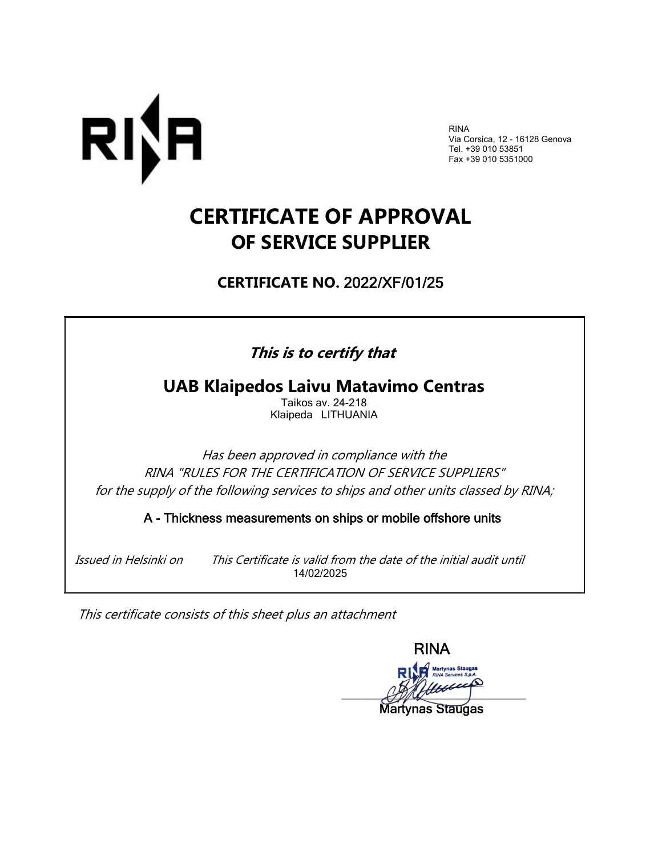

RINA Via Corsica, 12 - 16128 Genova Tel. +39 010 53851 Fax +39 010 5351000

## **CERTIFICATE OF APPROVAL OF SERVICE SUPPLIER**

**CERTIFICATE NO.** 2022/XF/01/25

## **This is to certify that**

**UAB Klaipedos Laivu Matavimo Centras**

Taikos av. 24-218 Klaipeda LITHUANIA

Has been approved in compliance with the RINA "RULES FOR THE CERTIFICATION OF SERVICE SUPPLIERS" for the supply of the following services to ships and other units classed by RINA;

A - Thickness measurements on ships or mobile offshore units

 Issued in Helsinki on This Certificate is valid from the date of the initial audit until 14/02/2025

This certificate consists of this sheet plus an attachment

RINA  $\mathscr{L}$ 

Martynas Staugas